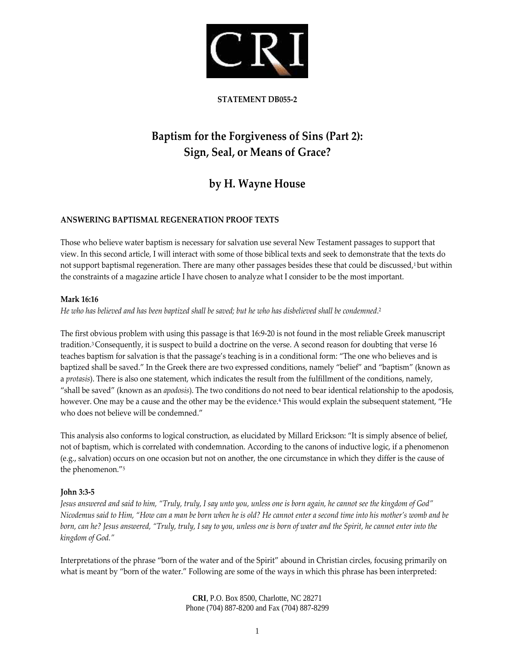

# **STATEMENT DB055‐2**

# **Baptism for the Forgiveness of Sins (Part 2): Sign, Seal, or Means of Grace?**

# **by H. Wayne House**

# **ANSWERING BAPTISMAL REGENERATION PROOF TEXTS**

Those who believe water baptism is necessary for salvation use several New Testament passages to support that view. In this second article, I will interact with some of those biblical texts and seek to demonstrate that the texts do not support baptismal regeneration. There are many other passages besides these that could be discussed,<sup>1</sup> but within the constraints of a magazine article I have chosen to analyze what I consider to be the most important.

#### **Mark 16:16**

?-He who has believed and has been baptized shall be saved; but he who has disbelieved shall be condemned

The first obvious problem with using this passage is that 16:9‐20 is not found in the most reliable Greek manuscript tradition.3 Consequently, it is suspect to build a doctrine on the verse. A second reason for doubting that verse 16 teaches baptism for salvation is that the passage's teaching is in a conditional form: "The one who believes and is baptized shall be saved." In the Greek there are two expressed conditions, namely "belief" and "baptism" (known as a *protasis*). There is also one statement, which indicates the result from the fulfillment of the conditions, namely, "shall be saved" (known as an *apodosis*). The two conditions do not need to bear identical relationship to the apodosis, however. One may be a cause and the other may be the evidence.<sup>4</sup> This would explain the subsequent statement, "He who does not believe will be condemned."

This analysis also conforms to logical construction, as elucidated by Millard Erickson: "It is simply absence of belief, not of baptism, which is correlated with condemnation. According to the canons of inductive logic, if a phenomenon (e.g., salvation) occurs on one occasion but not on another, the one circumstance in which they differ is the cause of the phenomenon."5

# **John 3:3‐5**

Jesus answered and said to him, "Truly, truly, I say unto you, unless one is born again, he cannot see the kingdom of God" Nicodemus said to Him, "How can a man be born when he is old? He cannot enter a second time into his mother's womb and be born, can he? Jesus answered, "Truly, truly, I say to you, unless one is born of water and the Spirit, he cannot enter into the *kingdom of God."*

Interpretations of the phrase "born of the water and of the Spirit" abound in Christian circles, focusing primarily on what is meant by "born of the water." Following are some of the ways in which this phrase has been interpreted: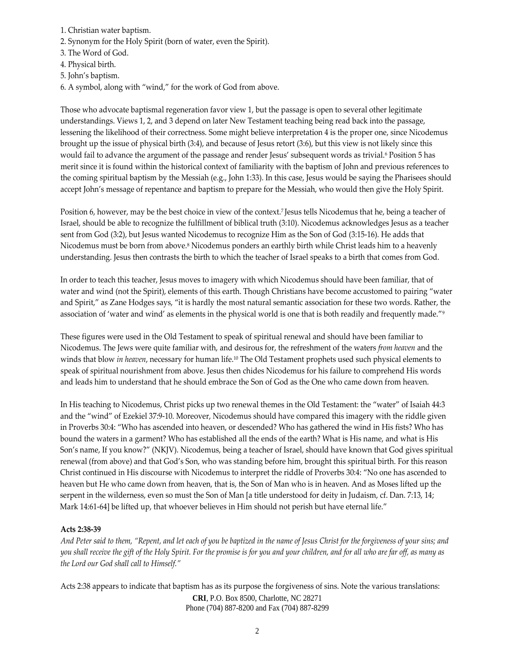- 1. Christian water baptism.
- 2. Synonym for the Holy Spirit (born of water, even the Spirit).
- 3. The Word of God.
- 4. Physical birth.
- 5. John's baptism.
- 6. A symbol, along with "wind," for the work of God from above.

Those who advocate baptismal regeneration favor view 1, but the passage is open to several other legitimate understandings. Views 1, 2, and 3 depend on later New Testament teaching being read back into the passage, lessening the likelihood of their correctness. Some might believe interpretation 4 is the proper one, since Nicodemus brought up the issue of physical birth (3:4), and because of Jesus retort (3:6), but this view is not likely since this would fail to advance the argument of the passage and render Jesus' subsequent words as trivial.<sup>6</sup> Position 5 has merit since it is found within the historical context of familiarity with the baptism of John and previous references to the coming spiritual baptism by the Messiah (e.g., John 1:33). In this case, Jesus would be saying the Pharisees should accept John's message of repentance and baptism to prepare for the Messiah, who would then give the Holy Spirit.

Position 6, however, may be the best choice in view of the context.7 Jesus tells Nicodemus that he, being a teacher of Israel, should be able to recognize the fulfillment of biblical truth (3:10). Nicodemus acknowledges Jesus as a teacher sent from God (3:2), but Jesus wanted Nicodemus to recognize Him as the Son of God (3:15‐16). He adds that Nicodemus must be born from above.8 Nicodemus ponders an earthly birth while Christ leads him to a heavenly understanding. Jesus then contrasts the birth to which the teacher of Israel speaks to a birth that comes from God.

In order to teach this teacher, Jesus moves to imagery with which Nicodemus should have been familiar, that of water and wind (not the Spirit), elements of this earth. Though Christians have become accustomed to pairing "water and Spirit," as Zane Hodges says, "it is hardly the most natural semantic association for these two words. Rather, the association of 'water and wind' as elements in the physical world is one that is both readily and frequently made."9

These figures were used in the Old Testament to speak of spiritual renewal and should have been familiar to Nicodemus. The Jews were quite familiar with, and desirous for, the refreshment of the waters *from heaven* and the winds that blow *in heaven*, necessary for human life.10 The Old Testament prophets used such physical elements to speak of spiritual nourishment from above. Jesus then chides Nicodemus for his failure to comprehend His words and leads him to understand that he should embrace the Son of God as the One who came down from heaven.

In His teaching to Nicodemus, Christ picks up two renewal themes in the Old Testament: the "water" of Isaiah 44:3 and the "wind" of Ezekiel 37:9‐10. Moreover, Nicodemus should have compared this imagery with the riddle given in Proverbs 30:4: "Who has ascended into heaven, or descended? Who has gathered the wind in His fists? Who has bound the waters in a garment? Who has established all the ends of the earth? What is His name, and what is His Son's name, If you know?" (NKJV). Nicodemus, being a teacher of Israel, should have known that God gives spiritual renewal (from above) and that God's Son, who was standing before him, brought this spiritual birth. For this reason Christ continued in His discourse with Nicodemus to interpret the riddle of Proverbs 30:4: "No one has ascended to heaven but He who came down from heaven, that is, the Son of Man who is in heaven. And as Moses lifted up the serpent in the wilderness, even so must the Son of Man [a title understood for deity in Judaism, cf. Dan. 7:13, 14; Mark 14:61‐64] be lifted up, that whoever believes in Him should not perish but have eternal life."

# **Acts 2:38‐39**

And Peter said to them, "Repent, and let each of you be baptized in the name of Jesus Christ for the forgiveness of your sins; and you shall receive the gift of the Holy Spirit. For the promise is for you and your children, and for all who are far off, as many as *the Lord our God shall call to Himself."*

**CRI**, P.O. Box 8500, Charlotte, NC 28271 Phone (704) 887-8200 and Fax (704) 887-8299 Acts 2:38 appears to indicate that baptism has as its purpose the forgiveness of sins. Note the various translations: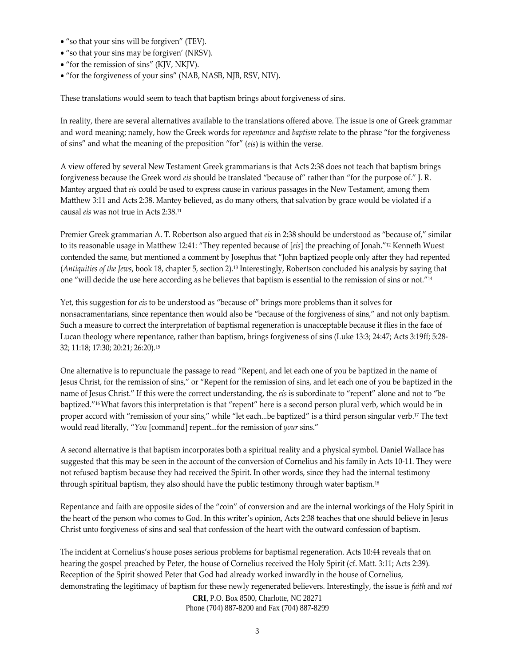- "so that your sins will be forgiven" (TEV).
- "so that your sins may be forgiven' (NRSV).
- "for the remission of sins" (KJV, NKJV).
- "for the forgiveness of your sins" (NAB, NASB, NJB, RSV, NIV).

These translations would seem to teach that baptism brings about forgiveness of sins.

In reality, there are several alternatives available to the translations offered above. The issue is one of Greek grammar and word meaning; namely, how the Greek words for *repentance* and *baptism* relate to the phrase "for the forgiveness of sins" and what the meaning of the preposition "for" (*eis*) is within the verse.

A view offered by several New Testament Greek grammarians is that Acts 2:38 does not teach that baptism brings forgiveness because the Greek word *eis* should be translated "because of" rather than "for the purpose of." J. R. Mantey argued that *eis* could be used to express cause in various passages in the New Testament, among them Matthew 3:11 and Acts 2:38. Mantey believed, as do many others, that salvation by grace would be violated if a causal *eis* was not true in Acts 2:38.11

Premier Greek grammarian A. T. Robertson also argued that *eis* in 2:38 should be understood as "because of," similar to its reasonable usage in Matthew 12:41: "They repented because of [*eis*] the preaching of Jonah."12 Kenneth Wuest contended the same, but mentioned a comment by Josephus that "John baptized people only after they had repented (*Antiquities of the Jews*, book 18, chapter 5, section 2).13 Interestingly, Robertson concluded his analysis by saying that one "will decide the use here according as he believes that baptism is essential to the remission of sins or not."14

Yet, this suggestion for *eis* to be understood as "because of" brings more problems than it solves for nonsacramentarians, since repentance then would also be "because of the forgiveness of sins," and not only baptism. Such a measure to correct the interpretation of baptismal regeneration is unacceptable because it flies in the face of Lucan theology where repentance, rather than baptism, brings forgiveness of sins (Luke 13:3; 24:47; Acts 3:19ff; 5:28‐ 32; 11:18; 17:30; 20:21; 26:20).15

One alternative is to repunctuate the passage to read "Repent, and let each one of you be baptized in the name of Jesus Christ, for the remission of sins," or "Repent for the remission of sins, and let each one of you be baptized in the name of Jesus Christ." If this were the correct understanding, the *eis* is subordinate to "repent" alone and not to "be baptized."16What favors this interpretation is that "repent" here is a second person plural verb, which would be in proper accord with "remission of your sins," while "let each...be baptized" is a third person singular verb.<sup>17</sup> The text would read literally, "*You* [command] repent...for the remission of *your* sins."

A second alternative is that baptism incorporates both a spiritual reality and a physical symbol. Daniel Wallace has suggested that this may be seen in the account of the conversion of Cornelius and his family in Acts 10‐11. They were not refused baptism because they had received the Spirit. In other words, since they had the internal testimony through spiritual baptism, they also should have the public testimony through water baptism.<sup>18</sup>

Repentance and faith are opposite sides of the "coin" of conversion and are the internal workings of the Holy Spirit in the heart of the person who comes to God. In this writer's opinion, Acts 2:38 teaches that one should believe in Jesus Christ unto forgiveness of sins and seal that confession of the heart with the outward confession of baptism.

The incident at Cornelius's house poses serious problems for baptismal regeneration. Acts 10:44 reveals that on hearing the gospel preached by Peter, the house of Cornelius received the Holy Spirit (cf. Matt. 3:11; Acts 2:39). Reception of the Spirit showed Peter that God had already worked inwardly in the house of Cornelius, demonstrating the legitimacy of baptism for these newly regenerated believers. Interestingly, the issue is *faith* and *not*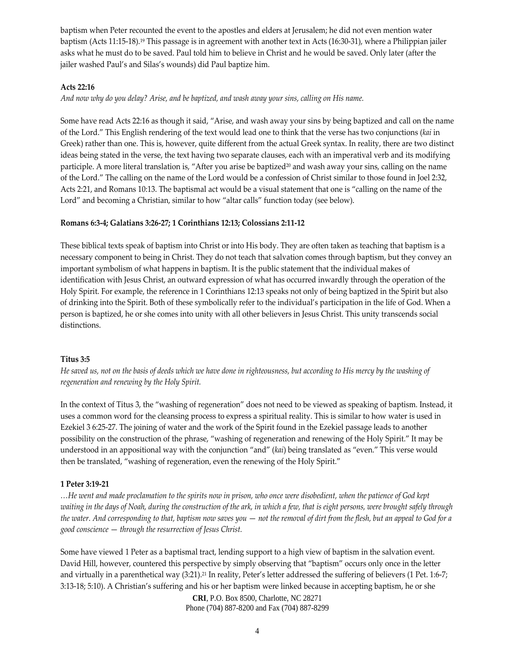baptism when Peter recounted the event to the apostles and elders at Jerusalem; he did not even mention water baptism (Acts 11:15‐18).19 This passage is in agreement with another text in Acts (16:30‐31), where a Philippian jailer asks what he must do to be saved. Paul told him to believe in Christ and he would be saved. Only later (after the jailer washed Paul's and Silas's wounds) did Paul baptize him.

#### **Acts 22:16**

And now why do you delay? Arise, and be baptized, and wash away your sins, calling on His name.

Some have read Acts 22:16 as though it said, "Arise, and wash away your sins by being baptized and call on the name of the Lord." This English rendering of the text would lead one to think that the verse has two conjunctions (*kai* in Greek) rather than one. This is, however, quite different from the actual Greek syntax. In reality, there are two distinct ideas being stated in the verse, the text having two separate clauses, each with an imperatival verb and its modifying participle. A more literal translation is, "After you arise be baptized $20$  and wash away your sins, calling on the name of the Lord." The calling on the name of the Lord would be a confession of Christ similar to those found in Joel 2:32, Acts 2:21, and Romans 10:13. The baptismal act would be a visual statement that one is "calling on the name of the Lord" and becoming a Christian, similar to how "altar calls" function today (see below).

#### **Romans 6:3‐4; Galatians 3:26‐27; 1 Corinthians 12:13; Colossians 2:11‐12**

These biblical texts speak of baptism into Christ or into His body. They are often taken as teaching that baptism is a necessary component to being in Christ. They do not teach that salvation comes through baptism, but they convey an important symbolism of what happens in baptism. It is the public statement that the individual makes of identification with Jesus Christ, an outward expression of what has occurred inwardly through the operation of the Holy Spirit. For example, the reference in 1 Corinthians 12:13 speaks not only of being baptized in the Spirit but also of drinking into the Spirit. Both of these symbolically refer to the individual's participation in the life of God. When a person is baptized, he or she comes into unity with all other believers in Jesus Christ. This unity transcends social distinctions.

# **Titus 3:5**

He saved us, not on the basis of deeds which we have done in righteousness, but according to His mercy by the washing of *regeneration and renewing by the Holy Spirit.*

In the context of Titus 3, the "washing of regeneration" does not need to be viewed as speaking of baptism. Instead, it uses a common word for the cleansing process to express a spiritual reality. This is similar to how water is used in Ezekiel 3 6:25‐27. The joining of water and the work of the Spirit found in the Ezekiel passage leads to another possibility on the construction of the phrase, "washing of regeneration and renewing of the Holy Spirit." It may be understood in an appositional way with the conjunction "and" (*kai*) being translated as "even." This verse would then be translated, "washing of regeneration, even the renewing of the Holy Spirit."

#### **1 Peter 3:19‐21**

...He went and made proclamation to the spirits now in prison, who once were disobedient, when the patience of God kept waiting in the days of Noah, during the construction of the ark, in which a few, that is eight persons, were brought safely through the water. And corresponding to that, baptism now saves you  $-$  not the removal of dirt from the flesh, but an appeal to God for a *good conscience* — *through the resurrection of Jesus Christ.*

Some have viewed 1 Peter as a baptismal tract, lending support to a high view of baptism in the salvation event. David Hill, however, countered this perspective by simply observing that "baptism" occurs only once in the letter and virtually in a parenthetical way  $(3:21)^{21}$  In reality, Peter's letter addressed the suffering of believers (1 Pet. 1:6-7; 3:13‐18; 5:10). A Christian's suffering and his or her baptism were linked because in accepting baptism, he or she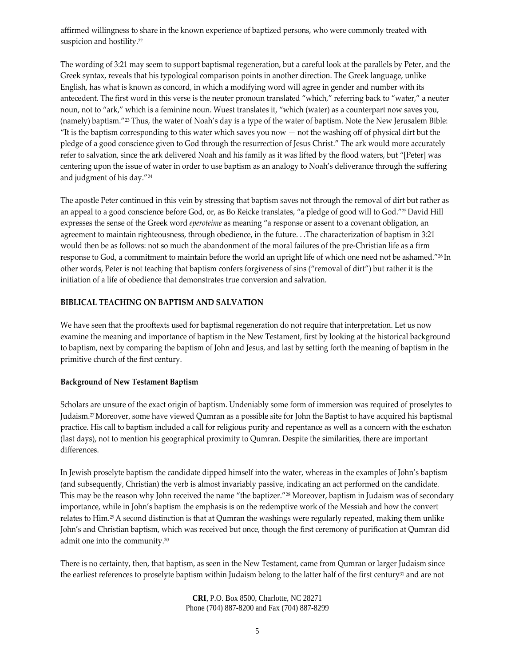affirmed willingness to share in the known experience of baptized persons, who were commonly treated with suspicion and hostility.<sup>22</sup>

The wording of 3:21 may seem to support baptismal regeneration, but a careful look at the parallels by Peter, and the Greek syntax, reveals that his typological comparison points in another direction. The Greek language, unlike English, has what is known as concord, in which a modifying word will agree in gender and number with its antecedent. The first word in this verse is the neuter pronoun translated "which," referring back to "water," a neuter noun, not to "ark," which is a feminine noun. Wuest translates it, "which (water) as a counterpart now saves you, (namely) baptism."23 Thus, the water of Noah's day is a type of the water of baptism. Note the New Jerusalem Bible: "It is the baptism corresponding to this water which saves you now  $-$  not the washing off of physical dirt but the pledge of a good conscience given to God through the resurrection of Jesus Christ." The ark would more accurately refer to salvation, since the ark delivered Noah and his family as it was lifted by the flood waters, but "[Peter] was centering upon the issue of water in order to use baptism as an analogy to Noah's deliverance through the suffering and judgment of his day."24

The apostle Peter continued in this vein by stressing that baptism saves not through the removal of dirt but rather as an appeal to a good conscience before God, or, as Bo Reicke translates, "a pledge of good will to God."25 David Hill expresses the sense of the Greek word *eperoteime* as meaning "a response or assent to a covenant obligation, an agreement to maintain righteousness, through obedience, in the future. . .The characterization of baptism in 3:21 would then be as follows: not so much the abandonment of the moral failures of the pre‐Christian life as a firm response to God, a commitment to maintain before the world an upright life of which one need not be ashamed."26 In other words, Peter is not teaching that baptism confers forgiveness of sins ("removal of dirt") but rather it is the initiation of a life of obedience that demonstrates true conversion and salvation.

# **BIBLICAL TEACHING ON BAPTISM AND SALVATION**

We have seen that the prooftexts used for baptismal regeneration do not require that interpretation. Let us now examine the meaning and importance of baptism in the New Testament, first by looking at the historical background to baptism, next by comparing the baptism of John and Jesus, and last by setting forth the meaning of baptism in the primitive church of the first century.

#### **Background of New Testament Baptism**

Scholars are unsure of the exact origin of baptism. Undeniably some form of immersion was required of proselytes to Judaism.27Moreover, some have viewed Qumran as a possible site for John the Baptist to have acquired his baptismal practice. His call to baptism included a call for religious purity and repentance as well as a concern with the eschaton (last days), not to mention his geographical proximity to Qumran. Despite the similarities, there are important differences.

In Jewish proselyte baptism the candidate dipped himself into the water, whereas in the examples of John's baptism (and subsequently, Christian) the verb is almost invariably passive, indicating an act performed on the candidate. This may be the reason why John received the name "the baptizer."<sup>28</sup> Moreover, baptism in Judaism was of secondary importance, while in John's baptism the emphasis is on the redemptive work of the Messiah and how the convert relates to Him.29A second distinction is that at Qumran the washings were regularly repeated, making them unlike John's and Christian baptism, which was received but once, though the first ceremony of purification at Qumran did admit one into the community.30

There is no certainty, then, that baptism, as seen in the New Testament, came from Qumran or larger Judaism since the earliest references to proselyte baptism within Judaism belong to the latter half of the first century<sup>31</sup> and are not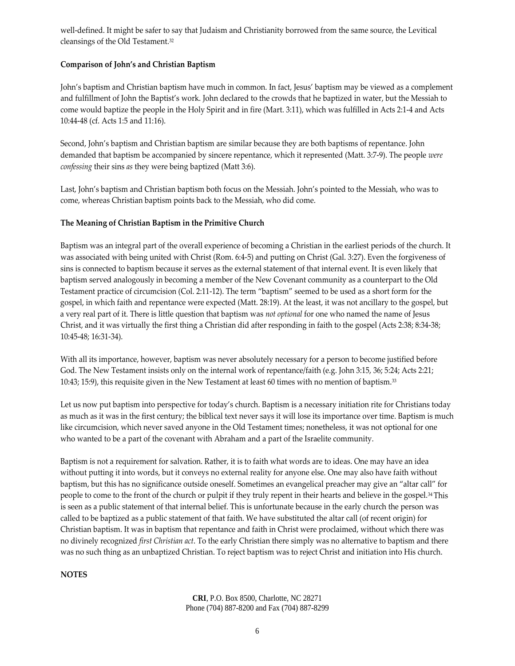well-defined. It might be safer to say that Judaism and Christianity borrowed from the same source, the Levitical cleansings of the Old Testament.32

# **Comparison of John's and Christian Baptism**

John's baptism and Christian baptism have much in common. In fact, Jesus' baptism may be viewed as a complement and fulfillment of John the Baptist's work. John declared to the crowds that he baptized in water, but the Messiah to come would baptize the people in the Holy Spirit and in fire (Mart. 3:11), which was fulfilled in Acts 2:1-4 and Acts 10:44‐48 (cf. Acts 1:5 and 11:16).

Second, John's baptism and Christian baptism are similar because they are both baptisms of repentance. John demanded that baptism be accompanied by sincere repentance, which it represented (Matt. 3:7‐9). The people *were confessing* their sins *as* they were being baptized (Matt 3:6).

Last, John's baptism and Christian baptism both focus on the Messiah. John's pointed to the Messiah, who was to come, whereas Christian baptism points back to the Messiah, who did come.

#### **The Meaning of Christian Baptism in the Primitive Church**

Baptism was an integral part of the overall experience of becoming a Christian in the earliest periods of the church. It was associated with being united with Christ (Rom. 6:4‐5) and putting on Christ (Gal. 3:27). Even the forgiveness of sins is connected to baptism because it serves as the external statement of that internal event. It is even likely that baptism served analogously in becoming a member of the New Covenant community as a counterpart to the Old Testament practice of circumcision (Col. 2:11‐12). The term "baptism" seemed to be used as a short form for the gospel, in which faith and repentance were expected (Matt. 28:19). At the least, it was not ancillary to the gospel, but a very real part of it. There is little question that baptism was *not optional* for one who named the name of Jesus Christ, and it was virtually the first thing a Christian did after responding in faith to the gospel (Acts 2:38; 8:34‐38; 10:45‐48; 16:31‐34).

With all its importance, however, baptism was never absolutely necessary for a person to become justified before God. The New Testament insists only on the internal work of repentance/faith (e.g. John 3:15, 36; 5:24; Acts 2:21; 10:43; 15:9), this requisite given in the New Testament at least 60 times with no mention of baptism.33

Let us now put baptism into perspective for today's church. Baptism is a necessary initiation rite for Christians today as much as it was in the first century; the biblical text never says it will lose its importance over time. Baptism is much like circumcision, which never saved anyone in the Old Testament times; nonetheless, it was not optional for one who wanted to be a part of the covenant with Abraham and a part of the Israelite community.

Baptism is not a requirement for salvation. Rather, it is to faith what words are to ideas. One may have an idea without putting it into words, but it conveys no external reality for anyone else. One may also have faith without baptism, but this has no significance outside oneself. Sometimes an evangelical preacher may give an "altar call" for people to come to the front of the church or pulpit if they truly repent in their hearts and believe in the gospel.34 This is seen as a public statement of that internal belief. This is unfortunate because in the early church the person was called to be baptized as a public statement of that faith. We have substituted the altar call (of recent origin) for Christian baptism. It was in baptism that repentance and faith in Christ were proclaimed, without which there was no divinely recognized *first Christian act*. To the early Christian there simply was no alternative to baptism and there was no such thing as an unbaptized Christian. To reject baptism was to reject Christ and initiation into His church.

#### **NOTES**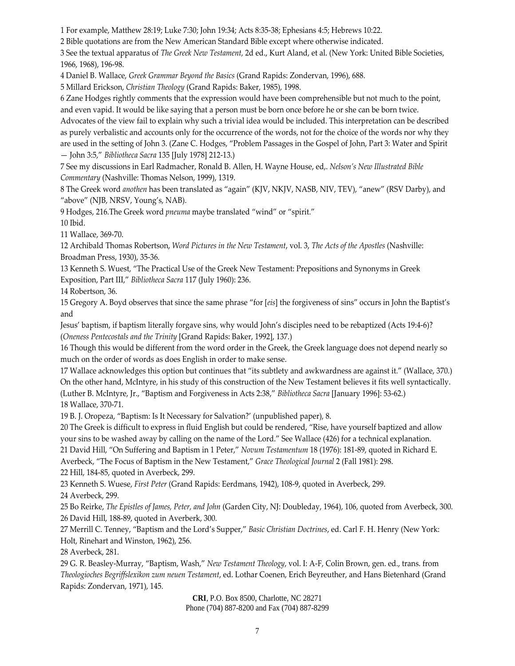1 For example, Matthew 28:19; Luke 7:30; John 19:34; Acts 8:35‐38; Ephesians 4:5; Hebrews 10:22.

2 Bible quotations are from the New American Standard Bible except where otherwise indicated.

3 See the textual apparatus of *The Greek New Testament,* 2d ed., Kurt Aland, et al. (New York: United Bible Societies, 1966, 1968), 196‐98.

4 Daniel B. Wallace, *Greek Grammar Beyond the Basics* (Grand Rapids: Zondervan, 1996), 688.

5 Millard Erickson, *Christian Theology* (Grand Rapids: Baker, 1985), 1998.

6 Zane Hodges rightly comments that the expression would have been comprehensible but not much to the point, and even vapid. It would be like saying that a person must be born once before he or she can be born twice.

Advocates of the view fail to explain why such a trivial idea would be included. This interpretation can be described as purely verbalistic and accounts only for the occurrence of the words, not for the choice of the words nor why they are used in the setting of John 3. (Zane C. Hodges, "Problem Passages in the Gospel of John, Part 3: Water and Spirit — John 3:5," *Bibliotheca Sacra* 135 [July 1978] 212‐13.)

7 See my discussions in Earl Radmacher, Ronald B. Allen, H. Wayne House, ed,. *Nelson's New Illustrated Bible Commentary* (Nashville: Thomas Nelson, 1999), 1319.

8 The Greek word *anothen* has been translated as "again" (KJV, NKJV, NASB, NIV, TEV), "anew" (RSV Darby), and "above" (NJB, NRSV, Young's, NAB).

9 Hodges, 216.The Greek word *pneuma* maybe translated "wind" or "spirit."

10 Ibid.

11 Wallace, 369‐70.

12 Archibald Thomas Robertson, *Word Pictures in the New Testament*, vol. 3, *The Acts of the Apostles* (Nashville: Broadman Press, 1930), 35‐36.

13 Kenneth S. Wuest, "The Practical Use of the Greek New Testament: Prepositions and Synonyms in Greek Exposition, Part III," *Bibliotheca Sacra* 117 (July 1960): 236.

14 Robertson, 36.

15 Gregory A. Boyd observes that since the same phrase "for [*eis*] the forgiveness of sins" occurs in John the Baptist's and

Jesus' baptism, if baptism literally forgave sins, why would John's disciples need to be rebaptized (Acts 19:4‐6)? (*Oneness Pentecostals and the Trinity* [Grand Rapids: Baker, 1992], 137.)

16 Though this would be different from the word order in the Greek, the Greek language does not depend nearly so much on the order of words as does English in order to make sense.

17 Wallace acknowledges this option but continues that "its subtlety and awkwardness are against it." (Wallace, 370.) On the other hand, McIntyre, in his study of this construction of the New Testament believes it fits well syntactically. (Luther B. McIntyre, Jr., "Baptism and Forgiveness in Acts 2:38," *Bibliotheca Sacra* [January 1996]: 53‐62.) 18 Wallace, 370‐71.

19 B. J. Oropeza, "Baptism: Is It Necessary for Salvation?' (unpublished paper), 8.

20 The Greek is difficult to express in fluid English but could be rendered, "Rise, have yourself baptized and allow your sins to be washed away by calling on the name of the Lord." See Wallace (426) for a technical explanation.

21 David Hill, "On Suffering and Baptism in 1 Peter," *Novum Testamentum* 18 (1976): 181‐89, quoted in Richard E.

Averbeck, "The Focus of Baptism in the New Testament," *Grace Theological Journal* 2 (Fall 1981): 298. 22 Hill, 184‐85, quoted in Averbeck, 299.

23 Kenneth S. Wuese, *First Peter* (Grand Rapids: Eerdmans, 1942), 108‐9, quoted in Averbeck, 299.

24 Averbeck, 299.

25 Bo Reirke, *The Epistles of James, Peter, and John* (Garden City, NJ: Doubleday, 1964), 106, quoted from Averbeck, 300. 26 David Hill, 188‐89, quoted in Averberk, 300.

27 Merrill C. Tenney, "Baptism and the Lord's Supper," *Basic Christian Doctrines*, ed. Carl F. H. Henry (New York: Holt, Rinehart and Winston, 1962), 256.

28 Averbeck, 281.

29 G. R. Beasley‐Murray, "Baptism, Wash," *New Testament Theology*, vol. I: A‐F, Colin Brown, gen. ed., trans. from *Theologioches Begriffslexikon zum neuen Testament*, ed. Lothar Coenen, Erich Beyreuther, and Hans Bietenhard (Grand Rapids: Zondervan, 1971), 145.